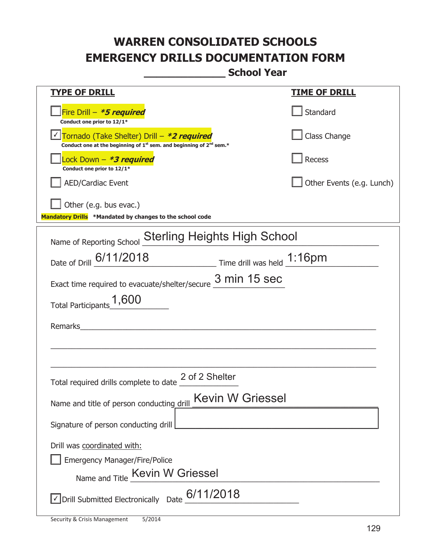**\_\_\_\_\_\_\_\_\_\_\_\_\_ School Year** 

| <u>TYPE OF DRILL</u>                                                                                                                      | <u>TIME OF DRILL</u>      |  |  |  |
|-------------------------------------------------------------------------------------------------------------------------------------------|---------------------------|--|--|--|
| Fire Drill - *5 required<br>Conduct one prior to 12/1*                                                                                    | Standard                  |  |  |  |
| Tornado (Take Shelter) Drill – *2 required<br>Conduct one at the beginning of 1 <sup>st</sup> sem. and beginning of 2 <sup>nd</sup> sem.* | Class Change              |  |  |  |
| Lock Down - *3 required<br>Conduct one prior to 12/1*                                                                                     | <b>Recess</b>             |  |  |  |
| <b>AED/Cardiac Event</b>                                                                                                                  | Other Events (e.g. Lunch) |  |  |  |
| Other (e.g. bus evac.)<br>Mandatory Drills *Mandated by changes to the school code                                                        |                           |  |  |  |
|                                                                                                                                           |                           |  |  |  |
| <b>Sterling Heights High School</b><br>Name of Reporting School                                                                           |                           |  |  |  |
| Date of Drill 6/11/2018 Time drill was held 1:16pm                                                                                        |                           |  |  |  |
| Exact time required to evacuate/shelter/secure $\frac{3 \text{ min}}{2}$ 15 sec                                                           |                           |  |  |  |
| Total Participants_1,600                                                                                                                  |                           |  |  |  |
| Remarks                                                                                                                                   |                           |  |  |  |
|                                                                                                                                           |                           |  |  |  |
|                                                                                                                                           |                           |  |  |  |
| 2 of 2 Shelter<br>Total required drills complete to date                                                                                  |                           |  |  |  |
| Kevin W Griessel<br>Name and title of person conducting drill                                                                             |                           |  |  |  |
| Signature of person conducting drill                                                                                                      |                           |  |  |  |
| Drill was coordinated with:                                                                                                               |                           |  |  |  |
| <b>Emergency Manager/Fire/Police</b>                                                                                                      |                           |  |  |  |
| Name and Title Kevin W Griessel                                                                                                           |                           |  |  |  |
| $\Box$ Drill Submitted Electronically Date $^{6/11/2018}$                                                                                 |                           |  |  |  |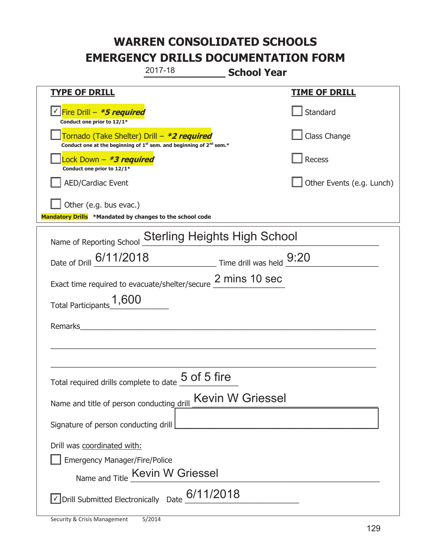|                                                                                             | 2017-18                                                                                     | <b>School Year</b>      |                           |
|---------------------------------------------------------------------------------------------|---------------------------------------------------------------------------------------------|-------------------------|---------------------------|
| <u>TYPE OF DRILL</u>                                                                        |                                                                                             |                         | <u>TIME OF DRILL</u>      |
| <u>√ Fire Drill – <i>*5 required</i></u><br>Conduct one prior to 12/1*                      |                                                                                             |                         | Standard                  |
| Tornado (Take Shelter) Drill – *2 required                                                  | Conduct one at the beginning of 1 <sup>st</sup> sem. and beginning of 2 <sup>nd</sup> sem.* |                         | Class Change              |
| Lock Down - <b>*3 required</b><br>Conduct one prior to 12/1*                                |                                                                                             |                         | Recess                    |
| <b>AED/Cardiac Event</b>                                                                    |                                                                                             |                         | Other Events (e.g. Lunch) |
| Other (e.g. bus evac.)<br>Mandatory Drills *Mandated by changes to the school code          |                                                                                             |                         |                           |
|                                                                                             | <b>Sterling Heights High School</b>                                                         |                         |                           |
| Name of Reporting School                                                                    |                                                                                             |                         |                           |
| Date of Drill 6/11/2018                                                                     | $\frac{9:20}{2}$ Time drill was held $\frac{9:20}{2}$                                       |                         |                           |
| Exact time required to evacuate/shelter/secure 2 mins 10 sec                                |                                                                                             |                         |                           |
| Total Participants 1,600                                                                    |                                                                                             |                         |                           |
| Remarks                                                                                     |                                                                                             |                         |                           |
|                                                                                             |                                                                                             |                         |                           |
|                                                                                             |                                                                                             |                         |                           |
| Total required drills complete to date <u>U</u>                                             | 5 of 5 fire                                                                                 |                         |                           |
| Name and title of person conducting drill                                                   |                                                                                             | <b>Kevin W Griessel</b> |                           |
| Signature of person conducting drill                                                        |                                                                                             |                         |                           |
| Drill was coordinated with:                                                                 |                                                                                             |                         |                           |
| <b>Emergency Manager/Fire/Police</b>                                                        |                                                                                             |                         |                           |
|                                                                                             | Name and Title Kevin W Griessel                                                             |                         |                           |
| $\sqrt{\phantom{a}}$ Drill Submitted Electronically Date $\overline{\phantom{a}}$ 6/11/2018 |                                                                                             |                         |                           |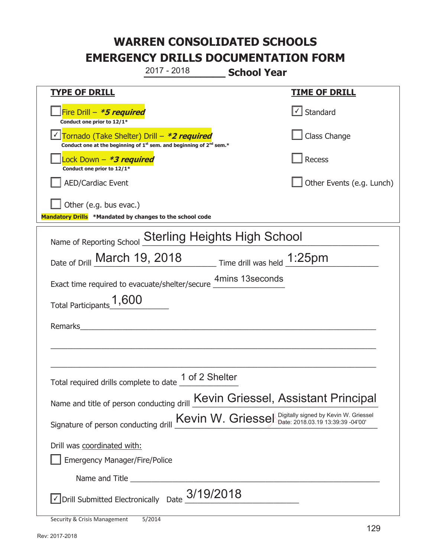**\_\_\_\_\_\_\_\_\_\_\_\_\_ School Year TYPE OF DRILL TIME OF DRILL**  侊Fire Drill – **\*5 required Conduct one prior to 12/1\***   $\boxed{\checkmark}$  Standard 侊Tornado (Take Shelter) Drill – **\*2 required** ✔ **Conduct one at the beginning of 1<sup>st</sup> sem. and beginning of 2<sup>nd</sup> sem.\*** Class Change 侊Lock Down – **\*3 required Conduct one prior to 12/1\* Recess** AED/Cardiac Event and a set of the set of the set of the United States (e.g. Lunch) Other (e.g. bus evac.) **Mandatory Drills \*Mandated by changes to the school code**  Name of Reporting School Sterling Heights High School Date of Drill  $\frac{\text{March } 19, 2018}{\text{Date of Drill } \text{March } 19, 2018}$  Time drill was held  $\frac{\text{1:25pm}}{\text{4:1:25pm}}$ Exact time required to evacuate/shelter/secure 4mins 13seconds Total Participants  $1,600$ Remarks  $\_$  , and the set of the set of the set of the set of the set of the set of the set of the set of the set of the set of the set of the set of the set of the set of the set of the set of the set of the set of the set of th \_\_\_\_\_\_\_\_\_\_\_\_\_\_\_\_\_\_\_\_\_\_\_\_\_\_\_\_\_\_\_\_\_\_\_\_\_\_\_\_\_\_\_\_\_\_\_\_\_\_\_\_\_\_\_\_\_\_\_\_\_\_\_\_\_\_\_\_\_\_\_\_\_\_\_\_\_ Total required drills complete to date  $\overline{\hspace{0.1cm}1}$  of 2 Shelter Name and title of person conducting drill Kevin Griessel, Assistant Principal Signature of person conducting drill  $Kevin W.$  Griessel Digitally signed by Kevin W. Griessel Drill was coordinated with: ܆ Emergency Manager/Fire/Police Name and Title **Example 20**  $\triangledown$  Drill Submitted Electronically Date  $3/19/2018$ 2017 - 2018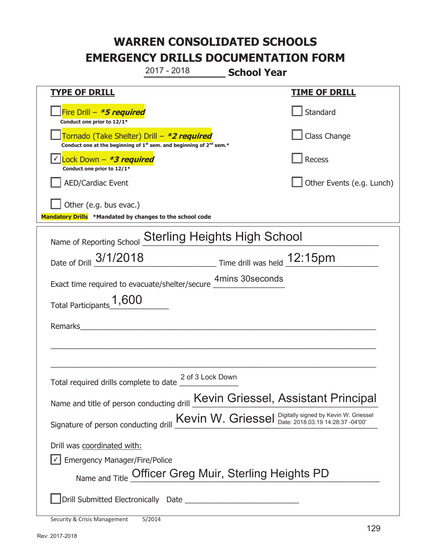**\_\_\_\_\_\_\_\_\_\_\_\_\_ School Year TYPE OF DRILL TIME OF DRILL**  侊Fire Drill – **\*5 required Conduct one prior to 12/1\* Standard** 侊Tornado (Take Shelter) Drill – **\*2 required** Conduct one at the beginning of 1<sup>st</sup> sem. and beginning of 2<sup>nd</sup> sem.\* Class Change 侊Lock Down – **\*3 required** ✔ **Conduct one prior to 12/1\* Recess** AED/Cardiac Event and the contract of the contract of the Contract of Contract of Contract of Contract of Contract of Contract of Contract of Contract of Contract of Contract of Contract of Contract of Contract of Contract Other (e.g. bus evac.) **Mandatory Drills \*Mandated by changes to the school code**  Name of Reporting School Sterling Heights High School Date of Drill  $\frac{3/1/2018}{2}$  Time drill was held  $\frac{12:15pm}{2}$ Exact time required to evacuate/shelter/secure 4mins 30seconds Total Participants  $1,600$ Remarks  $\_$  , and the set of the set of the set of the set of the set of the set of the set of the set of the set of the set of the set of the set of the set of the set of the set of the set of the set of the set of the set of th \_\_\_\_\_\_\_\_\_\_\_\_\_\_\_\_\_\_\_\_\_\_\_\_\_\_\_\_\_\_\_\_\_\_\_\_\_\_\_\_\_\_\_\_\_\_\_\_\_\_\_\_\_\_\_\_\_\_\_\_\_\_\_\_\_\_\_\_\_\_\_\_\_\_\_\_\_ Total required drills complete to date  $\frac{2 \text{ of } 3 \text{ Lock Down}}{2}$ Name and title of person conducting drill Kevin Griessel, Assistant Principal Signature of person conducting drill  $Kevin W.$  Griessel Digitally signed by Kevin W. Griessel Drill was coordinated with:  $\boxed{\checkmark}$  Emergency Manager/Fire/Police 2017 - 2018

Name and Title Officer Greg Muir, Sterling Heights PD

܆Drill Submitted Electronically Date \_\_\_\_\_\_\_\_\_\_\_\_\_\_\_\_\_\_\_\_\_\_\_\_\_\_\_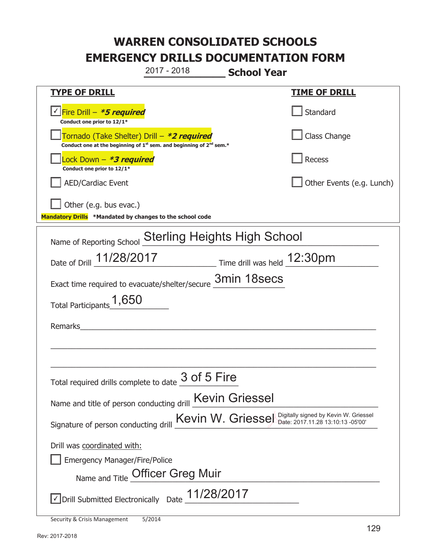**\_\_\_\_\_\_\_\_\_\_\_\_\_ School Year**  2017 - 2018

| <b>TYPE OF DRILL</b>                                                                                                                      | <b>TIME OF DRILL</b>      |  |  |
|-------------------------------------------------------------------------------------------------------------------------------------------|---------------------------|--|--|
| √Fire Drill – <i>*5 required</i><br>Conduct one prior to 12/1*                                                                            | Standard                  |  |  |
| Tornado (Take Shelter) Drill – *2 required<br>Conduct one at the beginning of 1 <sup>st</sup> sem. and beginning of 2 <sup>nd</sup> sem.* | Class Change              |  |  |
| Lock Down - *3 required<br>Conduct one prior to 12/1*                                                                                     | Recess                    |  |  |
| <b>AED/Cardiac Event</b>                                                                                                                  | Other Events (e.g. Lunch) |  |  |
| Other (e.g. bus evac.)                                                                                                                    |                           |  |  |
| Mandatory Drills *Mandated by changes to the school code                                                                                  |                           |  |  |
| Name of Reporting School Sterling Heights High School                                                                                     |                           |  |  |
| Date of Drill 11/28/2017 Time drill was held 12:30pm                                                                                      |                           |  |  |
| Exact time required to evacuate/shelter/secure 3min 18secs                                                                                |                           |  |  |
| Total Participants <sup>1</sup> ,650                                                                                                      |                           |  |  |
| Remarks and the contract of the contract of the contract of the contract of the contract of the contract of the                           |                           |  |  |
|                                                                                                                                           |                           |  |  |
|                                                                                                                                           |                           |  |  |
| 3 of 5 Fire<br>Total required drills complete to date                                                                                     |                           |  |  |
| Name and title of person conducting drill <b>Kevin Griessel</b>                                                                           |                           |  |  |
| Kevin W. Griessel Digitally signed by Kevin W. Griessel<br>Signature of person conducting drill                                           |                           |  |  |
| Drill was coordinated with:                                                                                                               |                           |  |  |
| <b>Emergency Manager/Fire/Police</b>                                                                                                      |                           |  |  |
| Name and Title Officer Greg Muir                                                                                                          |                           |  |  |
| Oprill Submitted Electronically Date 11/28/2017                                                                                           |                           |  |  |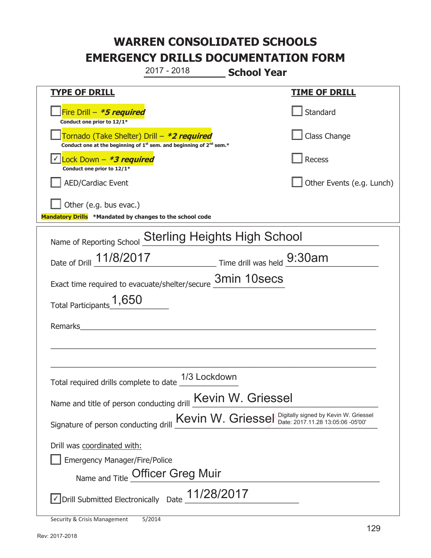**\_\_\_\_\_\_\_\_\_\_\_\_\_ School Year TYPE OF DRILL TIME OF DRILL**  侊Fire Drill – **\*5 required Conduct one prior to 12/1\* Standard** 侊Tornado (Take Shelter) Drill – **\*2 required** Conduct one at the beginning of 1<sup>st</sup> sem. and beginning of 2<sup>nd</sup> sem.\* Class Change 侊Lock Down – **\*3 required** ✔ **Conduct one prior to 12/1\* Recess** AED/Cardiac Event and the contract of the contract of the Contract of Contract of Contract of Contract of Contract of Contract of Contract of Contract of Contract of Contract of Contract of Contract of Contract of Contract Other (e.g. bus evac.) **Mandatory Drills \*Mandated by changes to the school code**  Name of Reporting School Sterling Heights High School Date of Drill  $\frac{11/8/2017}{2}$  Time drill was held  $\frac{9:30am}{2}$ Exact time required to evacuate/shelter/secure  $\frac{3min\ 10secs}{...}$ Total Participants  $1,650$ Remarks  $\_$  , and the set of the set of the set of the set of the set of the set of the set of the set of the set of the set of the set of the set of the set of the set of the set of the set of the set of the set of the set of th \_\_\_\_\_\_\_\_\_\_\_\_\_\_\_\_\_\_\_\_\_\_\_\_\_\_\_\_\_\_\_\_\_\_\_\_\_\_\_\_\_\_\_\_\_\_\_\_\_\_\_\_\_\_\_\_\_\_\_\_\_\_\_\_\_\_\_\_\_\_\_\_\_\_\_\_\_ Total required drills complete to date  $\frac{1/3}{2}$  Lockdown Name and title of person conducting drill **Kevin W. Griessel** Signature of person conducting drill  $Kevin W.$  Griessel Digitally signed by Kevin W. Griessel Drill was coordinated with: ܆ Emergency Manager/Fire/Police Name and Title Officer Greg Muir 2017 - 2018

 $\triangledown$  Drill Submitted Electronically Date  $11/28/2017$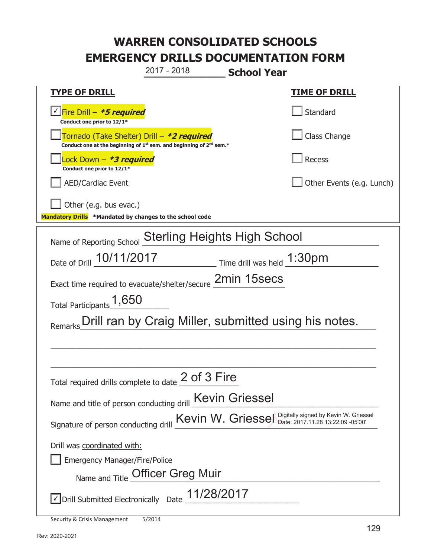**\_\_\_\_\_\_\_\_\_\_\_\_\_ School Year TYPE OF DRILL TIME OF DRILL**  侊Fire Drill – **\*5 required** ✔ **Conduct one prior to 12/1\* Standard** 侊Tornado (Take Shelter) Drill – **\*2 required** Conduct one at the beginning of 1<sup>st</sup> sem. and beginning of 2<sup>nd</sup> sem.\* Class Change 侊Lock Down – **\*3 required Conduct one prior to 12/1\* Recess** AED/Cardiac Event **AED/Cardiac Event Network Network Network Network Network Network Network Network Network Network Network Network Network Network Network Network Network Network Net** Other (e.g. bus evac.) **Mandatory Drills \*Mandated by changes to the school code**  Name of Reporting School Sterling Heights High School Date of Drill  $\frac{10/11/2017}{20}$  Time drill was held  $\frac{1:30 \text{pm}}{2}$ Exact time required to evacuate/shelter/secure  $\frac{2min\ 15secs}{...}$ Total Participants  $1,650$ Remarks Drill ran by Craig Miller, submitted using his notes.  $\_$  , and the set of the set of the set of the set of the set of the set of the set of the set of the set of the set of the set of the set of the set of the set of the set of the set of the set of the set of the set of th \_\_\_\_\_\_\_\_\_\_\_\_\_\_\_\_\_\_\_\_\_\_\_\_\_\_\_\_\_\_\_\_\_\_\_\_\_\_\_\_\_\_\_\_\_\_\_\_\_\_\_\_\_\_\_\_\_\_\_\_\_\_\_\_\_\_\_\_\_\_\_\_\_\_\_\_\_ Total required drills complete to date  $2$  of 3 Fire Name and title of person conducting drill Kevin Griessel Signature of person conducting drill  $Kevin W.$  Griessel Digitally signed by Kevin W. Griessel Drill was coordinated with: ܆ Emergency Manager/Fire/Police Name and Title Officer Greg Muir  $\triangledown$  Drill Submitted Electronically Date  $11/28/2017$ 2017 - 2018